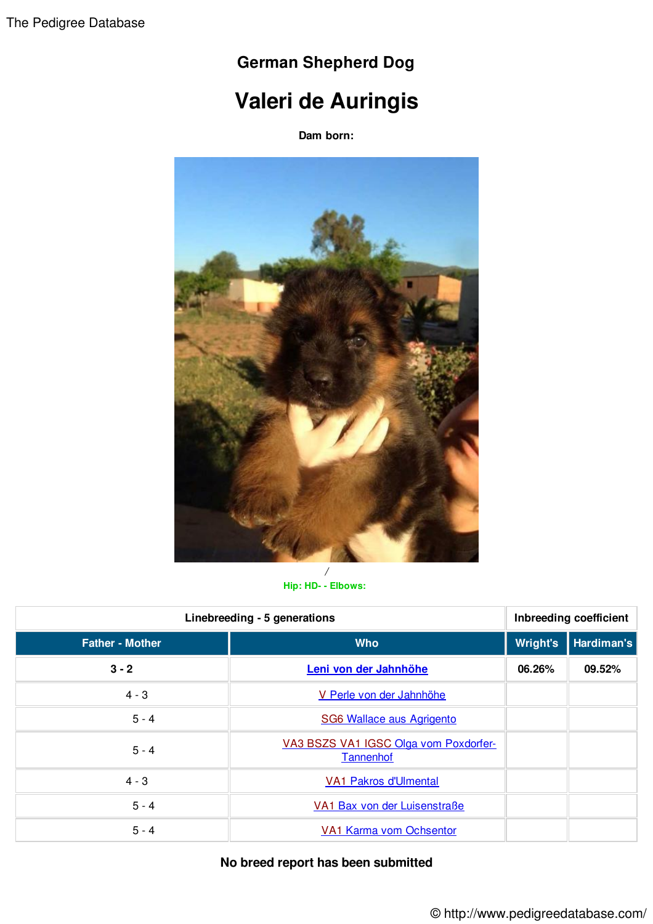## **German Shepherd Dog**

## **Valeri de Auringis**

**Dam born:**



**Hip: HD- - Elbows:**

| Linebreeding - 5 generations |                                                    | Inbreeding coefficient |            |
|------------------------------|----------------------------------------------------|------------------------|------------|
| <b>Father - Mother</b>       | <b>Who</b>                                         | Wright's               | Hardiman's |
| $3 - 2$                      | Leni von der Jahnhöhe                              | 06.26%                 | 09.52%     |
| $4 - 3$                      | V Perle von der Jahnhöhe                           |                        |            |
| $5 - 4$                      | SG6 Wallace aus Agrigento                          |                        |            |
| $5 - 4$                      | VA3 BSZS VA1 IGSC Olga vom Poxdorfer-<br>Tannenhof |                        |            |
| $4 - 3$                      | <b>VA1 Pakros d'Ulmental</b>                       |                        |            |
| $5 - 4$                      | VA1 Bax von der Luisenstraße                       |                        |            |
| $5 - 4$                      | <b>VA1 Karma vom Ochsentor</b>                     |                        |            |

## **No breed report has been submitted**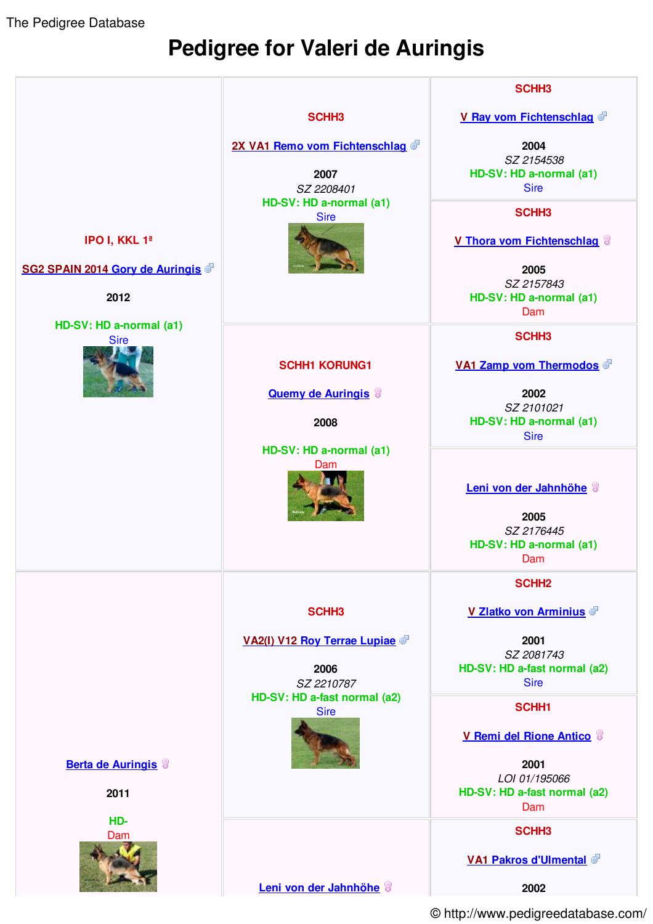The Pedigree Database

## **Pedigree for Valeri de Auringis**



© http://www.pedigreedatabase.com/